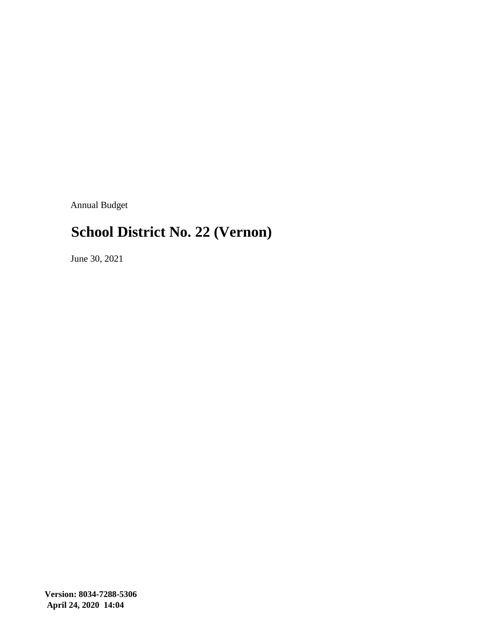Annual Budget

#### **School District No. 22 (Vernon)**

June 30, 2021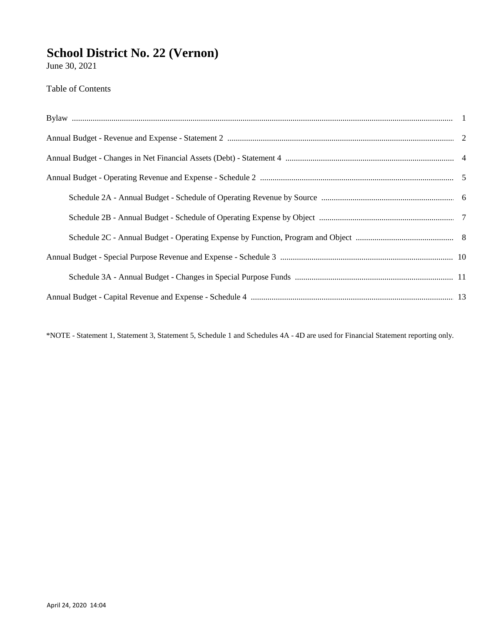June 30, 2021

Table of Contents

\*NOTE - Statement 1, Statement 3, Statement 5, Schedule 1 and Schedules 4A - 4D are used for Financial Statement reporting only.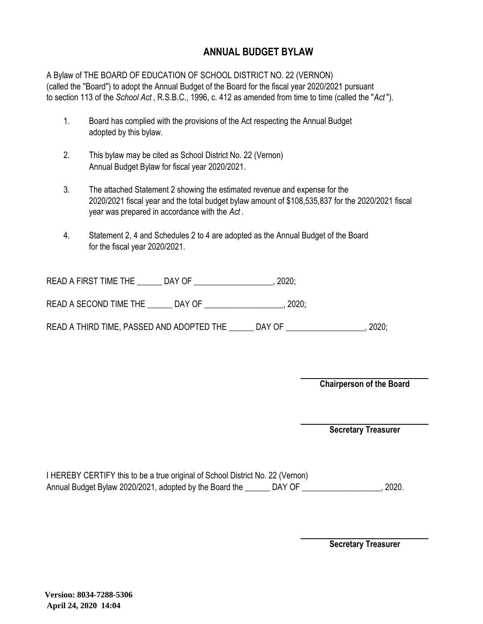#### **ANNUAL BUDGET BYLAW**

A Bylaw of THE BOARD OF EDUCATION OF SCHOOL DISTRICT NO. 22 (VERNON) (called the ''Board'') to adopt the Annual Budget of the Board for the fiscal year 2020/2021 pursuant to section 113 of the *School Act* , R.S.B.C., 1996, c. 412 as amended from time to time (called the "*Act* ").

- 1. Board has complied with the provisions of the Act respecting the Annual Budget adopted by this bylaw.
- 2. This bylaw may be cited as School District No. 22 (Vernon) Annual Budget Bylaw for fiscal year 2020/2021.
- 3. The attached Statement 2 showing the estimated revenue and expense for the 2020/2021 fiscal year and the total budget bylaw amount of \$108,535,837 for the 2020/2021 fiscal year was prepared in accordance with the *Act* .
- 4. Statement 2, 4 and Schedules 2 to 4 are adopted as the Annual Budget of the Board for the fiscal year 2020/2021.

| <b>READ A FIRST TIME THE</b> | DAY OF |  |
|------------------------------|--------|--|
|------------------------------|--------|--|

READ A SECOND TIME THE \_\_\_\_\_\_\_ DAY OF \_\_\_\_\_\_\_\_\_\_\_\_\_\_\_\_\_\_\_\_, 2020;

READ A THIRD TIME, PASSED AND ADOPTED THE \_\_\_\_\_\_ DAY OF \_\_\_\_\_\_\_\_\_\_\_\_\_\_\_\_\_, 2020;

**Chairperson of the Board**

**Secretary Treasurer**

| I HEREBY CERTIFY this to be a true original of School District No. 22 (Vernon) |        |       |
|--------------------------------------------------------------------------------|--------|-------|
| Annual Budget Bylaw 2020/2021, adopted by the Board the                        | DAY OF | 2020. |

**Secretary Treasurer**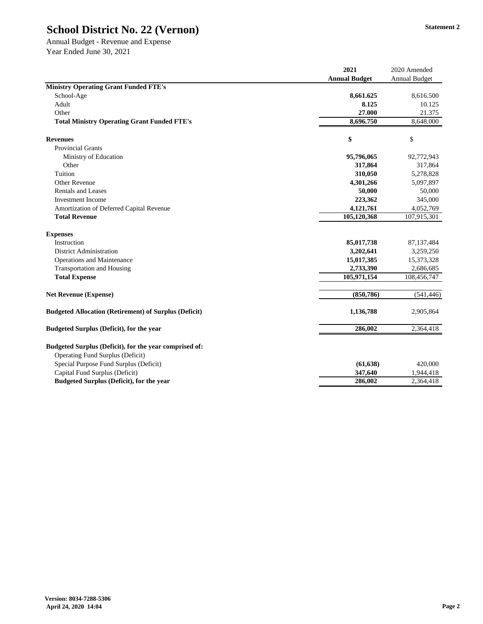Annual Budget - Revenue and Expense Year Ended June 30, 2021

|                                                                                                   | 2021                 | 2020 Amended              |
|---------------------------------------------------------------------------------------------------|----------------------|---------------------------|
|                                                                                                   | <b>Annual Budget</b> | <b>Annual Budget</b>      |
| <b>Ministry Operating Grant Funded FTE's</b>                                                      |                      |                           |
| School-Age                                                                                        | 8,661.625            | 8,616.500                 |
| Adult                                                                                             | 8.125                | 10.125                    |
| Other                                                                                             | 27.000               | 21.375                    |
| <b>Total Ministry Operating Grant Funded FTE's</b>                                                | 8,696.750            | 8,648.000                 |
| <b>Revenues</b>                                                                                   | \$                   | $\boldsymbol{\mathsf{S}}$ |
| <b>Provincial Grants</b>                                                                          |                      |                           |
| Ministry of Education                                                                             | 95,796,065           | 92,772,943                |
| Other                                                                                             | 317,864              | 317,864                   |
| Tuition                                                                                           | 310,050              | 5,278,828                 |
| <b>Other Revenue</b>                                                                              | 4,301,266            | 5,097,897                 |
| <b>Rentals and Leases</b>                                                                         | 50,000               | 50,000                    |
| <b>Investment Income</b>                                                                          | 223,362              | 345,000                   |
| Amortization of Deferred Capital Revenue                                                          | 4,121,761            | 4,052,769                 |
| <b>Total Revenue</b>                                                                              | 105,120,368          | 107,915,301               |
| <b>Expenses</b>                                                                                   |                      |                           |
| Instruction                                                                                       | 85,017,738           | 87, 137, 484              |
| <b>District Administration</b>                                                                    | 3,202,641            | 3,259,250                 |
| <b>Operations and Maintenance</b>                                                                 | 15,017,385           | 15,373,328                |
| <b>Transportation and Housing</b>                                                                 | 2,733,390            | 2,686,685                 |
| <b>Total Expense</b>                                                                              | 105,971,154          | 108,456,747               |
| <b>Net Revenue (Expense)</b>                                                                      | (850, 786)           | (541, 446)                |
| <b>Budgeted Allocation (Retirement) of Surplus (Deficit)</b>                                      | 1,136,788            | 2,905,864                 |
| <b>Budgeted Surplus (Deficit), for the year</b>                                                   | 286,002              | 2,364,418                 |
| Budgeted Surplus (Deficit), for the year comprised of:<br><b>Operating Fund Surplus (Deficit)</b> |                      |                           |
| Special Purpose Fund Surplus (Deficit)                                                            | (61, 638)            | 420,000                   |
| Capital Fund Surplus (Deficit)                                                                    | 347,640              | 1,944,418                 |
| <b>Budgeted Surplus (Deficit), for the year</b>                                                   | 286,002              | 2,364,418                 |
|                                                                                                   |                      |                           |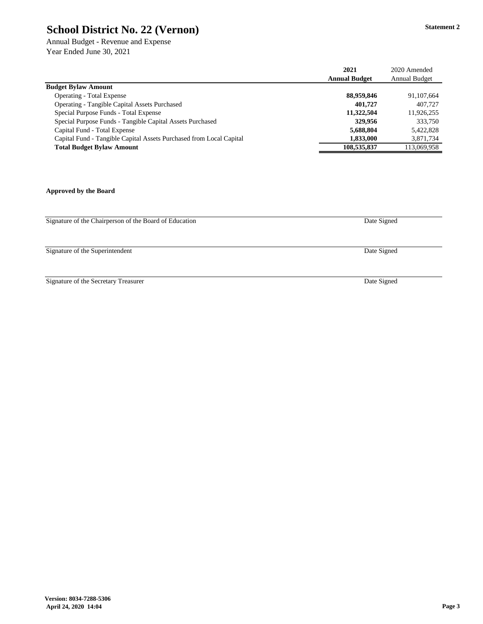Annual Budget - Revenue and Expense Year Ended June 30, 2021

|                                                                     | 2021                 | 2020 Amended         |
|---------------------------------------------------------------------|----------------------|----------------------|
|                                                                     | <b>Annual Budget</b> | <b>Annual Budget</b> |
| <b>Budget Bylaw Amount</b>                                          |                      |                      |
| <b>Operating - Total Expense</b>                                    | 88,959,846           | 91,107,664           |
| <b>Operating - Tangible Capital Assets Purchased</b>                | 401,727              | 407,727              |
| Special Purpose Funds - Total Expense                               | 11,322,504           | 11,926,255           |
| Special Purpose Funds - Tangible Capital Assets Purchased           | 329,956              | 333,750              |
| Capital Fund - Total Expense                                        | 5,688,804            | 5,422,828            |
| Capital Fund - Tangible Capital Assets Purchased from Local Capital | 1,833,000            | 3,871,734            |
| <b>Total Budget Bylaw Amount</b>                                    | 108,535,837          | 113,069,958          |

**Approved by the Board**

Signature of the Chairperson of the Board of Education

Signature of the Superintendent

Signature of the Secretary Treasurer

Date Signed

Date Signed

Date Signed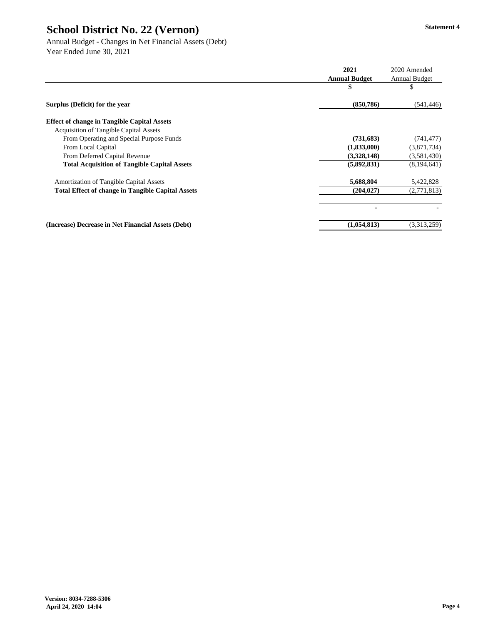Annual Budget - Changes in Net Financial Assets (Debt) Year Ended June 30, 2021

|                                                          | 2021                 | 2020 Amended         |
|----------------------------------------------------------|----------------------|----------------------|
|                                                          | <b>Annual Budget</b> | <b>Annual Budget</b> |
|                                                          | \$                   | P                    |
| Surplus (Deficit) for the year                           | (850, 786)           | (541, 446)           |
| <b>Effect of change in Tangible Capital Assets</b>       |                      |                      |
| <b>Acquisition of Tangible Capital Assets</b>            |                      |                      |
| From Operating and Special Purpose Funds                 | (731, 683)           | (741, 477)           |
| From Local Capital                                       | (1,833,000)          | (3,871,734)          |
| From Deferred Capital Revenue                            | (3,328,148)          | (3,581,430)          |
| <b>Total Acquisition of Tangible Capital Assets</b>      | (5,892,831)          | (8,194,641)          |
| <b>Amortization of Tangible Capital Assets</b>           | 5,688,804            | 5,422,828            |
| <b>Total Effect of change in Tangible Capital Assets</b> | (204, 027)           | (2,771,813)          |
|                                                          | $\blacksquare$       |                      |
| (Increase) Decrease in Net Financial Assets (Debt)       | (1,054,813)          | (3,313,259)          |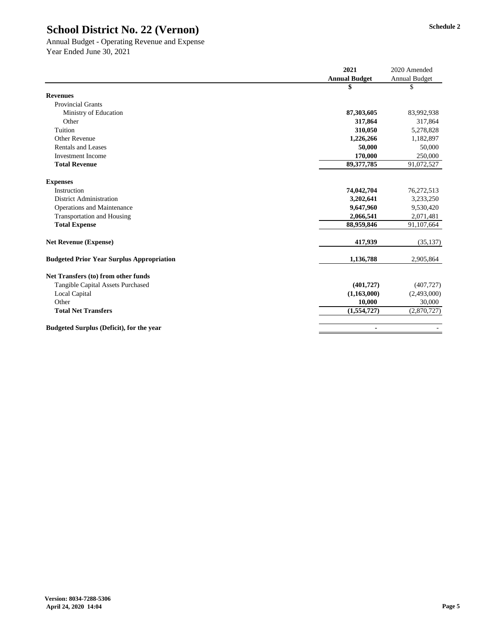#### Annual Budget - Operating Revenue and Expense Year Ended June 30, 2021

|                                                  | 2021                 | 2020 Amended         |
|--------------------------------------------------|----------------------|----------------------|
|                                                  | <b>Annual Budget</b> | <b>Annual Budget</b> |
|                                                  | \$                   | \$                   |
| <b>Revenues</b>                                  |                      |                      |
| <b>Provincial Grants</b>                         |                      |                      |
| Ministry of Education                            | 87,303,605           | 83,992,938           |
| Other                                            | 317,864              | 317,864              |
| Tuition                                          | 310,050              | 5,278,828            |
| <b>Other Revenue</b>                             | 1,226,266            | 1,182,897            |
| <b>Rentals and Leases</b>                        | 50,000               | 50,000               |
| <b>Investment Income</b>                         | 170,000              | 250,000              |
| <b>Total Revenue</b>                             | 89, 377, 785         | 91,072,527           |
| <b>Expenses</b>                                  |                      |                      |
| Instruction                                      | 74,042,704           | 76,272,513           |
| <b>District Administration</b>                   | 3,202,641            | 3,233,250            |
| <b>Operations and Maintenance</b>                | 9,647,960            | 9,530,420            |
| <b>Transportation and Housing</b>                | 2,066,541            | 2,071,481            |
| <b>Total Expense</b>                             | 88,959,846           | 91,107,664           |
| <b>Net Revenue (Expense)</b>                     | 417,939              | (35, 137)            |
| <b>Budgeted Prior Year Surplus Appropriation</b> | 1,136,788            | 2,905,864            |
| Net Transfers (to) from other funds              |                      |                      |
| <b>Tangible Capital Assets Purchased</b>         | (401, 727)           | (407, 727)           |
| Local Capital                                    | (1,163,000)          | (2,493,000)          |
| Other                                            | 10,000               | 30,000               |
| <b>Total Net Transfers</b>                       | (1,554,727)          | (2,870,727)          |
| <b>Budgeted Surplus (Deficit), for the year</b>  | $\blacksquare$       |                      |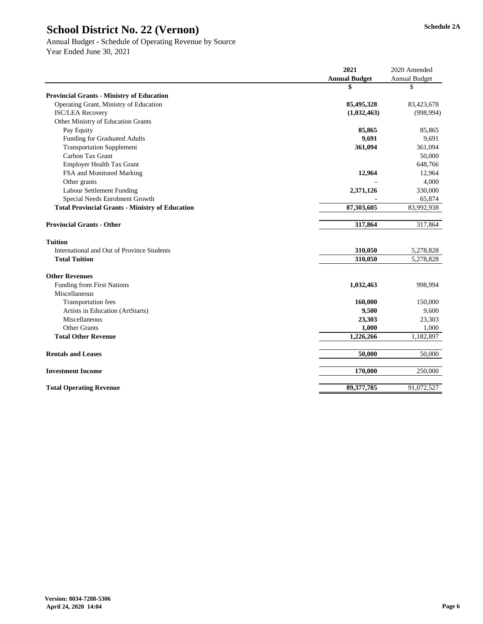# Annual Budget - Schedule of Operating Revenue by Source

|                                                        | 2021                 | 2020 Amended         |
|--------------------------------------------------------|----------------------|----------------------|
|                                                        | <b>Annual Budget</b> | <b>Annual Budget</b> |
|                                                        | \$                   | \$                   |
| <b>Provincial Grants - Ministry of Education</b>       |                      |                      |
| Operating Grant, Ministry of Education                 | 85,495,328           | 83,423,678           |
| <b>ISC/LEA Recovery</b>                                | (1,032,463)          | (998, 994)           |
| Other Ministry of Education Grants                     |                      |                      |
| Pay Equity                                             | 85,865               | 85,865               |
| <b>Funding for Graduated Adults</b>                    | 9,691                | 9,691                |
| <b>Transportation Supplement</b>                       | 361,094              | 361,094              |
| Carbon Tax Grant                                       |                      | 50,000               |
| <b>Employer Health Tax Grant</b>                       |                      | 648,766              |
| FSA and Monitored Marking                              | 12,964               | 12,964               |
| Other grants                                           |                      | 4,000                |
| <b>Labour Settlement Funding</b>                       | 2,371,126            | 330,000              |
| Special Needs Enrolment Growth                         |                      | 65,874               |
| <b>Total Provincial Grants - Ministry of Education</b> | 87,303,605           | 83,992,938           |
| <b>Provincial Grants - Other</b>                       | 317,864              | 317,864              |
| <b>Tuition</b>                                         |                      |                      |
| <b>International and Out of Province Students</b>      | 310,050              | 5,278,828            |
| <b>Total Tuition</b>                                   | 310,050              | 5,278,828            |
| <b>Other Revenues</b>                                  |                      |                      |
| <b>Funding from First Nations</b>                      | 1,032,463            | 998,994              |
| Miscellaneous                                          |                      |                      |
| <b>Transportation fees</b>                             | 160,000              | 150,000              |
| Artists in Education (ArtStarts)                       | 9,500                | 9,600                |
| Miscellaneous                                          | 23,303               | 23,303               |
| <b>Other Grants</b>                                    | 1,000                | 1,000                |
| <b>Total Other Revenue</b>                             | 1,226,266            | 1,182,897            |
| <b>Rentals and Leases</b>                              | 50,000               | 50,000               |
| <b>Investment Income</b>                               | 170,000              | 250,000              |
| <b>Total Operating Revenue</b>                         | 89, 377, 785         | 91,072,527           |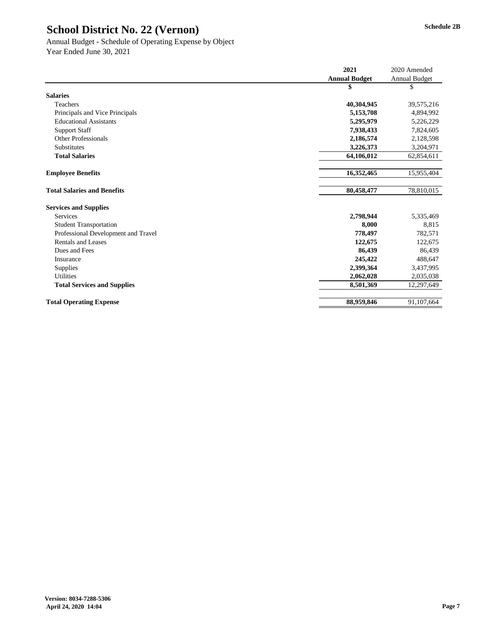#### Annual Budget - Schedule of Operating Expense by Object Year Ended June 30, 2021

|                                     | 2021                 | 2020 Amended         |
|-------------------------------------|----------------------|----------------------|
|                                     | <b>Annual Budget</b> | <b>Annual Budget</b> |
|                                     | \$                   | \$                   |
| <b>Salaries</b>                     |                      |                      |
| Teachers                            | 40,304,945           | 39,575,216           |
| Principals and Vice Principals      | 5,153,708            | 4,894,992            |
| <b>Educational Assistants</b>       | 5,295,979            | 5,226,229            |
| <b>Support Staff</b>                | 7,938,433            | 7,824,605            |
| <b>Other Professionals</b>          | 2,186,574            | 2,128,598            |
| Substitutes                         | 3,226,373            | 3,204,971            |
| <b>Total Salaries</b>               | 64,106,012           | 62,854,611           |
|                                     |                      |                      |
| <b>Employee Benefits</b>            | 16,352,465           | 15,955,404           |
|                                     |                      |                      |
| <b>Total Salaries and Benefits</b>  | 80,458,477           | 78,810,015           |
| <b>Services and Supplies</b>        |                      |                      |
| <b>Services</b>                     | 2,798,944            | 5,335,469            |
| <b>Student Transportation</b>       | 8,000                | 8,815                |
| Professional Development and Travel | 778,497              | 782,571              |
| <b>Rentals and Leases</b>           | 122,675              | 122,675              |
| Dues and Fees                       | 86,439               | 86,439               |
| Insurance                           | 245,422              | 488,647              |
| Supplies                            | 2,399,364            | 3,437,995            |
| <b>Utilities</b>                    | 2,062,028            | 2,035,038            |
| <b>Total Services and Supplies</b>  | 8,501,369            | 12,297,649           |
| <b>Total Operating Expense</b>      | 88,959,846           | 91,107,664           |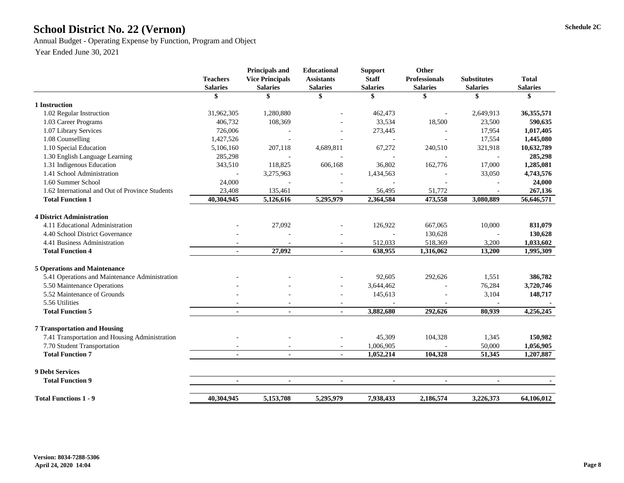# School District No. 22 (Vernon) Schedule 2C

Annual Budget - Operating Expense by Function, Program and Object

|                                                 | <b>Teachers</b><br><b>Salaries</b> | <b>Principals and</b><br><b>Vice Principals</b><br><b>Salaries</b> | <b>Educational</b><br><b>Assistants</b><br><b>Salaries</b> | <b>Support</b><br><b>Staff</b><br><b>Salaries</b> | <b>Other</b><br><b>Professionals</b><br><b>Salaries</b> | <b>Substitutes</b><br><b>Salaries</b> | <b>Total</b><br><b>Salaries</b> |
|-------------------------------------------------|------------------------------------|--------------------------------------------------------------------|------------------------------------------------------------|---------------------------------------------------|---------------------------------------------------------|---------------------------------------|---------------------------------|
|                                                 | \$                                 | S                                                                  | \$                                                         | \$                                                |                                                         | \$                                    | \$                              |
| 1 Instruction                                   |                                    |                                                                    |                                                            |                                                   |                                                         |                                       |                                 |
| 1.02 Regular Instruction                        | 31,962,305                         | 1,280,880                                                          |                                                            | 462,473                                           |                                                         | 2,649,913                             | 36, 355, 571                    |
| 1.03 Career Programs                            | 406,732                            | 108,369                                                            |                                                            | 33,534                                            | 18,500                                                  | 23,500                                | 590,635                         |
| 1.07 Library Services                           | 726,006                            |                                                                    |                                                            | 273,445                                           |                                                         | 17,954                                | 1,017,405                       |
| 1.08 Counselling                                | 1,427,526                          |                                                                    |                                                            |                                                   |                                                         | 17,554                                | 1,445,080                       |
| 1.10 Special Education                          | 5,106,160                          | 207,118                                                            | 4,689,811                                                  | 67,272                                            | 240,510                                                 | 321,918                               | 10,632,789                      |
| 1.30 English Language Learning                  | 285,298                            |                                                                    |                                                            |                                                   |                                                         |                                       | 285,298                         |
| 1.31 Indigenous Education                       | 343,510                            | 118,825                                                            | 606,168                                                    | 36,802                                            | 162,776                                                 | 17,000                                | 1,285,081                       |
| 1.41 School Administration                      |                                    | 3,275,963                                                          |                                                            | 1,434,563                                         |                                                         | 33,050                                | 4,743,576                       |
| 1.60 Summer School                              | 24,000                             |                                                                    |                                                            |                                                   |                                                         |                                       | 24,000                          |
| 1.62 International and Out of Province Students | 23,408                             | 135,461                                                            | $\overline{\phantom{a}}$                                   | 56,495                                            | 51,772                                                  |                                       | 267,136                         |
| <b>Total Function 1</b>                         | 40,304,945                         | 5,126,616                                                          | 5,295,979                                                  | 2,364,584                                         | 473,558                                                 | 3,080,889                             | 56,646,571                      |
| <b>4 District Administration</b>                |                                    |                                                                    |                                                            |                                                   |                                                         |                                       |                                 |
| 4.11 Educational Administration                 |                                    | 27,092                                                             |                                                            | 126,922                                           | 667,065                                                 | 10,000                                | 831,079                         |
| 4.40 School District Governance                 |                                    |                                                                    |                                                            |                                                   | 130,628                                                 |                                       | 130,628                         |
| 4.41 Business Administration                    |                                    |                                                                    | $\overline{\phantom{a}}$                                   | 512,033                                           | 518,369                                                 | 3,200                                 | 1,033,602                       |
| <b>Total Function 4</b>                         |                                    | 27,092                                                             | $\blacksquare$                                             | 638,955                                           | 1,316,062                                               | 13,200                                | 1,995,309                       |
| <b>5 Operations and Maintenance</b>             |                                    |                                                                    |                                                            |                                                   |                                                         |                                       |                                 |
| 5.41 Operations and Maintenance Administration  |                                    |                                                                    |                                                            | 92,605                                            | 292,626                                                 | 1,551                                 | 386,782                         |
| 5.50 Maintenance Operations                     |                                    |                                                                    | $\overline{\phantom{a}}$                                   | 3,644,462                                         |                                                         | 76,284                                | 3,720,746                       |
| 5.52 Maintenance of Grounds                     |                                    |                                                                    | $\overline{\phantom{a}}$                                   | 145,613                                           |                                                         | 3,104                                 | 148,717                         |
| 5.56 Utilities                                  |                                    |                                                                    |                                                            |                                                   |                                                         |                                       |                                 |
| <b>Total Function 5</b>                         | $\blacksquare$                     | $\blacksquare$                                                     | $\blacksquare$                                             | 3,882,680                                         | 292,626                                                 | 80,939                                | 4,256,245                       |
| <b>7 Transportation and Housing</b>             |                                    |                                                                    |                                                            |                                                   |                                                         |                                       |                                 |
| 7.41 Transportation and Housing Administration  |                                    |                                                                    |                                                            | 45,309                                            | 104,328                                                 | 1,345                                 | 150,982                         |
| 7.70 Student Transportation                     |                                    |                                                                    | $\overline{\phantom{a}}$                                   | 1,006,905                                         |                                                         | 50,000                                | 1,056,905                       |
| <b>Total Function 7</b>                         | $\blacksquare$                     | $\blacksquare$                                                     | $\blacksquare$                                             | 1,052,214                                         | 104,328                                                 | 51,345                                | 1,207,887                       |
|                                                 |                                    |                                                                    |                                                            |                                                   |                                                         |                                       |                                 |
| <b>9 Debt Services</b>                          |                                    |                                                                    |                                                            |                                                   |                                                         |                                       |                                 |
| <b>Total Function 9</b>                         |                                    | $\blacksquare$                                                     |                                                            |                                                   |                                                         |                                       |                                 |
| <b>Total Functions 1 - 9</b>                    | 40,304,945                         | 5,153,708                                                          | 5,295,979                                                  | 7,938,433                                         | 2,186,574                                               | 3,226,373                             | 64,106,012                      |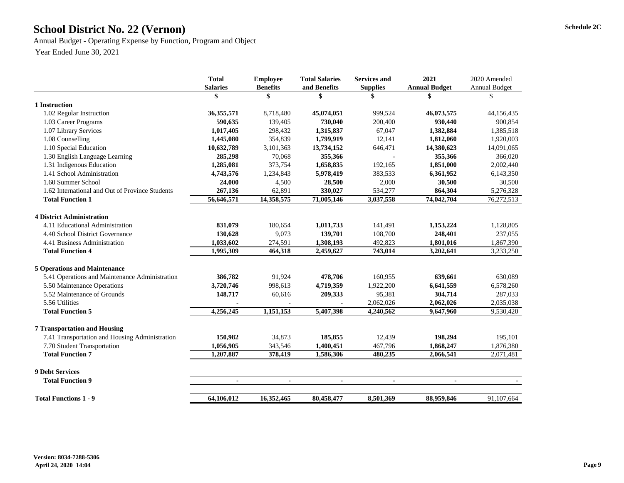# School District No. 22 (Vernon) Schedule 2C

Annual Budget - Operating Expense by Function, Program and Object

|                                                 | <b>Total</b>    | <b>Employee</b> | <b>Total Salaries</b> | <b>Services and</b> | 2021                 | 2020 Amended         |
|-------------------------------------------------|-----------------|-----------------|-----------------------|---------------------|----------------------|----------------------|
|                                                 | <b>Salaries</b> | <b>Benefits</b> | and Benefits          | <b>Supplies</b>     | <b>Annual Budget</b> | <b>Annual Budget</b> |
|                                                 | \$              | \$              |                       |                     |                      | \$                   |
| 1 Instruction                                   |                 |                 |                       |                     |                      |                      |
| 1.02 Regular Instruction                        | 36, 355, 571    | 8,718,480       | 45,074,051            | 999,524             | 46,073,575           | 44,156,435           |
| 1.03 Career Programs                            | 590,635         | 139,405         | 730,040               | 200,400             | 930,440              | 900,854              |
| 1.07 Library Services                           | 1,017,405       | 298,432         | 1,315,837             | 67,047              | 1,382,884            | 1,385,518            |
| 1.08 Counselling                                | 1,445,080       | 354,839         | 1,799,919             | 12,141              | 1,812,060            | 1,920,003            |
| 1.10 Special Education                          | 10,632,789      | 3,101,363       | 13,734,152            | 646,471             | 14,380,623           | 14,091,065           |
| 1.30 English Language Learning                  | 285,298         | 70,068          | 355,366               |                     | 355,366              | 366,020              |
| 1.31 Indigenous Education                       | 1,285,081       | 373,754         | 1,658,835             | 192,165             | 1,851,000            | 2,002,440            |
| 1.41 School Administration                      | 4,743,576       | 1,234,843       | 5,978,419             | 383,533             | 6,361,952            | 6,143,350            |
| 1.60 Summer School                              | 24,000          | 4,500           | 28,500                | 2,000               | 30,500               | 30,500               |
| 1.62 International and Out of Province Students | 267,136         | 62,891          | 330,027               | 534,277             | 864,304              | 5,276,328            |
| <b>Total Function 1</b>                         | 56,646,571      | 14,358,575      | 71,005,146            | 3,037,558           | 74,042,704           | 76,272,513           |
| <b>4 District Administration</b>                |                 |                 |                       |                     |                      |                      |
| 4.11 Educational Administration                 | 831,079         | 180,654         | 1,011,733             | 141,491             | 1,153,224            | 1,128,805            |
| 4.40 School District Governance                 | 130,628         | 9,073           | 139,701               | 108,700             | 248,401              | 237,055              |
| 4.41 Business Administration                    | 1,033,602       | 274,591         | 1,308,193             | 492,823             | 1,801,016            | 1,867,390            |
| <b>Total Function 4</b>                         | 1,995,309       | 464,318         | 2,459,627             | 743,014             | 3,202,641            | 3,233,250            |
| <b>5 Operations and Maintenance</b>             |                 |                 |                       |                     |                      |                      |
| 5.41 Operations and Maintenance Administration  | 386,782         | 91,924          | 478,706               | 160,955             | 639,661              | 630,089              |
| 5.50 Maintenance Operations                     | 3,720,746       | 998,613         | 4,719,359             | 1,922,200           | 6,641,559            | 6,578,260            |
| 5.52 Maintenance of Grounds                     | 148,717         | 60,616          | 209,333               | 95,381              | 304,714              | 287,033              |
| 5.56 Utilities                                  |                 |                 |                       | 2,062,026           | 2,062,026            | 2,035,038            |
| <b>Total Function 5</b>                         | 4,256,245       | 1,151,153       | 5,407,398             | 4,240,562           | 9,647,960            | 9,530,420            |
| <b>7 Transportation and Housing</b>             |                 |                 |                       |                     |                      |                      |
| 7.41 Transportation and Housing Administration  | 150,982         | 34,873          | 185,855               | 12,439              | 198,294              | 195,101              |
| 7.70 Student Transportation                     | 1,056,905       | 343,546         | 1,400,451             | 467,796             | 1,868,247            | 1,876,380            |
| <b>Total Function 7</b>                         | 1,207,887       | 378,419         | 1,586,306             | 480,235             | 2,066,541            | 2,071,481            |
| <b>9 Debt Services</b>                          |                 |                 |                       |                     |                      |                      |
| <b>Total Function 9</b>                         | $\blacksquare$  | $\blacksquare$  |                       |                     |                      |                      |
| <b>Total Functions 1 - 9</b>                    | 64,106,012      | 16,352,465      | 80,458,477            | 8,501,369           | 88,959,846           | 91,107,664           |
|                                                 |                 |                 |                       |                     |                      |                      |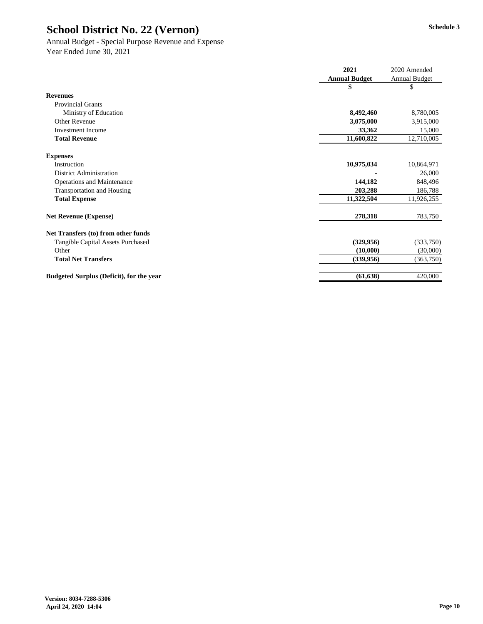# Annual Budget - Special Purpose Revenue and Expense

|                                                 | 2021                 | 2020 Amended         |
|-------------------------------------------------|----------------------|----------------------|
|                                                 | <b>Annual Budget</b> | <b>Annual Budget</b> |
|                                                 |                      | \$                   |
| <b>Revenues</b>                                 |                      |                      |
| <b>Provincial Grants</b>                        |                      |                      |
| Ministry of Education                           | 8,492,460            | 8,780,005            |
| <b>Other Revenue</b>                            | 3,075,000            | 3,915,000            |
| <b>Investment Income</b>                        | 33,362               | 15,000               |
| <b>Total Revenue</b>                            | 11,600,822           | 12,710,005           |
| <b>Expenses</b>                                 |                      |                      |
| Instruction                                     | 10,975,034           | 10,864,971           |
| <b>District Administration</b>                  |                      | 26,000               |
| <b>Operations and Maintenance</b>               | 144,182              | 848,496              |
| <b>Transportation and Housing</b>               | 203,288              | 186,788              |
| <b>Total Expense</b>                            | 11,322,504           | 11,926,255           |
| <b>Net Revenue (Expense)</b>                    | 278,318              | 783,750              |
| Net Transfers (to) from other funds             |                      |                      |
| <b>Tangible Capital Assets Purchased</b>        | (329, 956)           | (333,750)            |
| Other                                           | (10,000)             | (30,000)             |
| <b>Total Net Transfers</b>                      | (339, 956)           | (363,750)            |
| <b>Budgeted Surplus (Deficit), for the year</b> | (61, 638)            | 420,000              |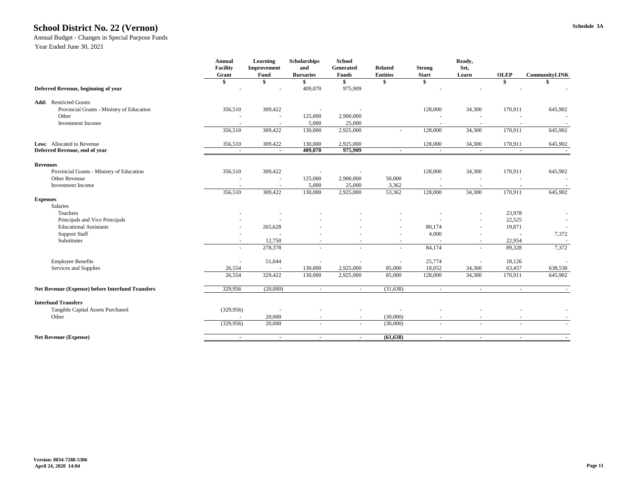# **Schedule 3A School District No. 22 (Vernon)**

#### Annual Budget - Changes in Special Purpose Funds

|                                                         | <b>Annual</b><br><b>Facility</b><br>Grant | <b>Learning</b><br>Improvement<br>Fund | <b>Scholarships</b><br>and<br><b>Bursaries</b> | <b>School</b><br>Generated<br><b>Funds</b> | <b>Related</b><br><b>Entities</b> | <b>Strong</b><br><b>Start</b> | Ready,<br>Set,<br>Learn  | <b>OLEP</b>    | <b>CommunityLINK</b>     |
|---------------------------------------------------------|-------------------------------------------|----------------------------------------|------------------------------------------------|--------------------------------------------|-----------------------------------|-------------------------------|--------------------------|----------------|--------------------------|
|                                                         | \$                                        |                                        |                                                | \$                                         |                                   | \$                            |                          | \$             |                          |
| Deferred Revenue, beginning of year                     |                                           |                                        | 409,070                                        | 975,909                                    |                                   |                               |                          |                |                          |
| <b>Add:</b> Restricted Grants                           |                                           |                                        |                                                |                                            |                                   |                               |                          |                |                          |
| Provincial Grants - Ministry of Education               | 356,510                                   | 309,422                                |                                                |                                            |                                   | 128,000                       | 34,300                   | 170,911        | 645,902                  |
| Other                                                   |                                           |                                        | 125,000                                        | 2,900,000                                  |                                   |                               |                          |                | $\overline{\phantom{a}}$ |
| <b>Investment Income</b>                                |                                           |                                        | 5,000                                          | 25,000                                     |                                   |                               |                          |                |                          |
|                                                         | 356,510                                   | 309,422                                | 130,000                                        | 2,925,000                                  |                                   | 128,000                       | 34,300                   | 170,911        | 645,902                  |
| Less: Allocated to Revenue                              | 356,510                                   | 309,422                                | 130,000                                        | 2,925,000                                  |                                   | 128,000                       | 34,300                   | 170,911        | 645,902                  |
| Deferred Revenue, end of year                           | $\sim$                                    | $\sim$                                 | 409,070                                        | 975,909                                    | $\sim$                            | $\blacksquare$                |                          | $\sim$         |                          |
| <b>Revenues</b>                                         |                                           |                                        |                                                |                                            |                                   |                               |                          |                |                          |
| Provincial Grants - Ministry of Education               | 356,510                                   | 309,422                                |                                                |                                            |                                   | 128,000                       | 34,300                   | 170,911        | 645,902                  |
| Other Revenue                                           |                                           |                                        | 125,000                                        | 2,900,000                                  | 50,000                            |                               |                          |                |                          |
| <b>Investment Income</b>                                |                                           |                                        | 5,000                                          | 25,000                                     | 3,362                             |                               |                          |                |                          |
|                                                         | 356,510                                   | 309,422                                | 130,000                                        | 2,925,000                                  | 53,362                            | 128,000                       | 34,300                   | 170,911        | 645,902                  |
| <b>Expenses</b>                                         |                                           |                                        |                                                |                                            |                                   |                               |                          |                |                          |
| Salaries                                                |                                           |                                        |                                                |                                            |                                   |                               |                          |                |                          |
| Teachers                                                |                                           |                                        |                                                |                                            |                                   |                               |                          | 23,978         |                          |
| Principals and Vice Principals                          |                                           |                                        |                                                |                                            |                                   |                               | $\sim$                   | 22,525         | $\sim$                   |
| <b>Educational Assistants</b>                           |                                           | 265,628                                |                                                |                                            |                                   | 80,174                        |                          | 19,871         |                          |
| <b>Support Staff</b>                                    |                                           |                                        |                                                |                                            |                                   | 4,000                         |                          |                | 7,372                    |
| Substitutes                                             | $\overline{\phantom{a}}$                  | 12,750                                 | $\overline{\phantom{a}}$                       |                                            |                                   |                               | $\sim$                   | 22,954         |                          |
|                                                         | $\overline{\phantom{0}}$                  | 278,378                                | $\overline{\phantom{a}}$                       | $\overline{\phantom{a}}$                   |                                   | 84,174                        | $\sim$                   | 89,328         | 7,372                    |
| <b>Employee Benefits</b>                                | $\overline{\phantom{a}}$                  | 51,044                                 |                                                |                                            |                                   | 25,774                        | $\overline{\phantom{a}}$ | 18,126         | $\sim$                   |
| Services and Supplies                                   | 26,554                                    | $\overline{\phantom{a}}$               | 130,000                                        | 2,925,000                                  | 85,000                            | 18,052                        | 34,300                   | 63,457         | 638,530                  |
|                                                         | 26,554                                    | 329,422                                | 130,000                                        | 2,925,000                                  | 85,000                            | 128,000                       | 34,300                   | 170,911        | 645,902                  |
| <b>Net Revenue (Expense) before Interfund Transfers</b> | 329,956                                   | (20,000)                               | $\sim$                                         | $\sim$                                     | (31, 638)                         | $\sim$                        | $\sim$                   | $\sim$         | $\sim$                   |
| <b>Interfund Transfers</b>                              |                                           |                                        |                                                |                                            |                                   |                               |                          |                |                          |
| Tangible Capital Assets Purchased                       | (329, 956)                                |                                        |                                                |                                            |                                   |                               |                          |                |                          |
| Other                                                   |                                           | 20,000                                 | $\overline{\phantom{0}}$                       |                                            | (30,000)                          | $\overline{\phantom{a}}$      |                          |                |                          |
|                                                         | (329, 956)                                | 20,000                                 | $\overline{\phantom{0}}$                       | $\sim$                                     | (30,000)                          | $\overline{\phantom{a}}$      | $\sim$                   | $\overline{a}$ |                          |
| <b>Net Revenue (Expense)</b>                            | $\sim$                                    | $\sim$                                 | $\sim$                                         | $\sim$                                     | (61, 638)                         | $\sim$                        | $\sim$                   | $\sim$         | $\sim$ 10 $\,$           |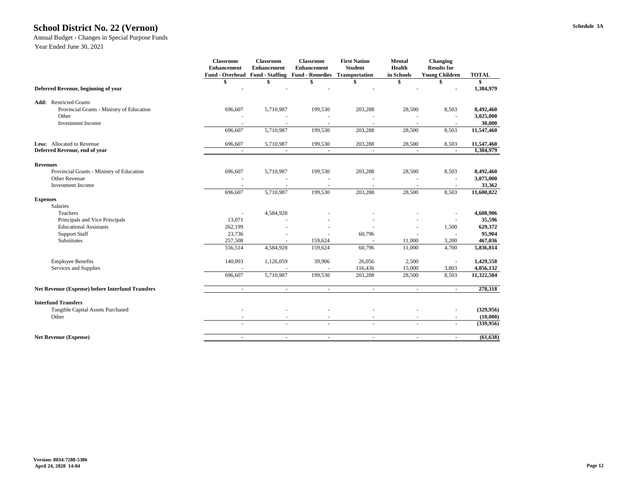#### **Schedule 3A School District No. 22 (Vernon)**

#### Annual Budget - Changes in Special Purpose Funds

|                                                         | <b>Classroom</b><br><b>Enhancement</b><br><b>Fund - Overhead</b> | <b>Classroom</b><br><b>Enhancement</b><br><b>Fund - Staffing</b> | <b>Classroom</b><br><b>Enhancement</b><br><b>Fund - Remedies Transportation</b> | <b>First Nation</b><br><b>Student</b> | <b>Mental</b><br>Health<br>in Schools | <b>Changing</b><br><b>Results for</b><br><b>Young Children</b> | <b>TOTAL</b>        |
|---------------------------------------------------------|------------------------------------------------------------------|------------------------------------------------------------------|---------------------------------------------------------------------------------|---------------------------------------|---------------------------------------|----------------------------------------------------------------|---------------------|
|                                                         | \$                                                               |                                                                  |                                                                                 |                                       |                                       |                                                                | \$                  |
| Deferred Revenue, beginning of year                     |                                                                  |                                                                  |                                                                                 |                                       |                                       |                                                                | 1,384,979           |
| <b>Restricted Grants</b><br>Add:                        |                                                                  |                                                                  |                                                                                 |                                       |                                       |                                                                |                     |
| Provincial Grants - Ministry of Education               | 696,607                                                          | 5,710,987                                                        | 199,530                                                                         | 203,288                               | 28,500                                | 8,503                                                          | 8,492,460           |
| Other<br><b>Investment Income</b>                       |                                                                  |                                                                  |                                                                                 |                                       |                                       |                                                                | 3,025,000<br>30,000 |
|                                                         | 696,607                                                          | 5,710,987                                                        | 199,530                                                                         | 203,288                               | 28,500                                | 8,503                                                          | 11,547,460          |
| <b>Less:</b> Allocated to Revenue                       | 696,607                                                          | 5,710,987                                                        | 199,530                                                                         | 203,288                               | 28,500                                | 8,503                                                          | 11,547,460          |
| Deferred Revenue, end of year                           |                                                                  |                                                                  |                                                                                 |                                       |                                       |                                                                | 1,384,979           |
| <b>Revenues</b>                                         |                                                                  |                                                                  |                                                                                 |                                       |                                       |                                                                |                     |
| Provincial Grants - Ministry of Education               | 696,607                                                          | 5,710,987                                                        | 199,530                                                                         | 203,288                               | 28,500                                | 8,503                                                          | 8,492,460           |
| <b>Other Revenue</b>                                    |                                                                  |                                                                  |                                                                                 |                                       |                                       |                                                                | 3,075,000           |
| <b>Investment</b> Income                                |                                                                  |                                                                  |                                                                                 |                                       |                                       |                                                                | 33,362              |
|                                                         | 696,607                                                          | 5,710,987                                                        | 199,530                                                                         | 203,288                               | 28,500                                | 8,503                                                          | 11,600,822          |
| <b>Expenses</b><br>Salaries                             |                                                                  |                                                                  |                                                                                 |                                       |                                       |                                                                |                     |
| Teachers                                                |                                                                  | 4,584,928                                                        |                                                                                 |                                       |                                       |                                                                | 4,608,906           |
| Principals and Vice Principals                          | 13,071                                                           |                                                                  |                                                                                 |                                       |                                       |                                                                | 35,596              |
| <b>Educational Assistants</b>                           | 262,199                                                          |                                                                  |                                                                                 |                                       |                                       | 1,500                                                          | 629,372             |
| <b>Support Staff</b>                                    | 23,736                                                           |                                                                  |                                                                                 | 60,796                                |                                       |                                                                | 95,904              |
| Substitutes                                             | 257,508                                                          |                                                                  | 159,624                                                                         |                                       | 11,000                                | 3,200                                                          | 467,036             |
|                                                         | 556,514                                                          | 4,584,928                                                        | 159,624                                                                         | 60,796                                | 11,000                                | 4,700                                                          | 5,836,814           |
| <b>Employee Benefits</b>                                | 140,093                                                          | 1,126,059                                                        | 39,906                                                                          | 26,056                                | 2,500                                 |                                                                | 1,429,558           |
| Services and Supplies                                   |                                                                  |                                                                  |                                                                                 | 116,436                               | 15,000                                | 3,803                                                          | 4,056,132           |
|                                                         | 696,607                                                          | 5,710,987                                                        | 199,530                                                                         | 203,288                               | 28,500                                | 8,503                                                          | 11,322,504          |
| <b>Net Revenue (Expense) before Interfund Transfers</b> | $\sim$                                                           | $\overline{\phantom{a}}$                                         | $\sim$                                                                          | $\blacksquare$                        | $\overline{\phantom{a}}$              | $\sim$                                                         | 278,318             |
| <b>Interfund Transfers</b>                              |                                                                  |                                                                  |                                                                                 |                                       |                                       |                                                                |                     |
| Tangible Capital Assets Purchased                       |                                                                  |                                                                  |                                                                                 |                                       |                                       |                                                                | (329, 956)          |
| Other                                                   |                                                                  |                                                                  |                                                                                 |                                       |                                       |                                                                | (10,000)            |
|                                                         | $\overline{\phantom{0}}$                                         | $\overline{\phantom{a}}$                                         | $\overline{\phantom{a}}$                                                        | $\overline{\phantom{a}}$              |                                       | $\sim$                                                         | (339, 956)          |
| <b>Net Revenue (Expense)</b>                            | $\blacksquare$                                                   | $\sim$                                                           | $\sim$                                                                          | $\blacksquare$                        | $\sim$                                | $\sim$                                                         | (61, 638)           |
|                                                         |                                                                  |                                                                  |                                                                                 |                                       |                                       |                                                                |                     |